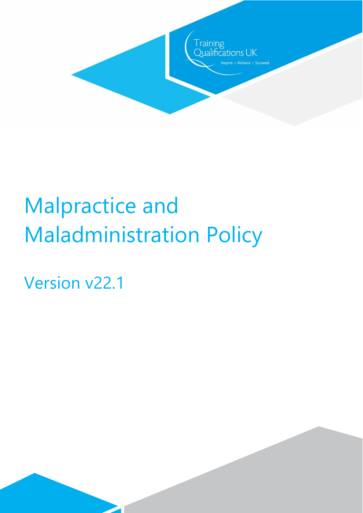

Version v22.1

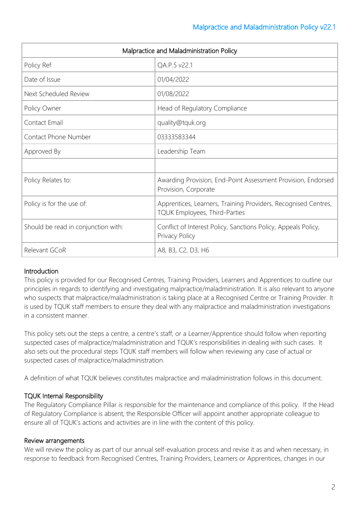| Malpractice and Maladministration Policy |                                                                                                 |
|------------------------------------------|-------------------------------------------------------------------------------------------------|
| Policy Ref                               | QA.P.5 v22.1                                                                                    |
| Date of Issue                            | 01/04/2022                                                                                      |
| Next Scheduled Review                    | 01/08/2022                                                                                      |
| Policy Owner                             | Head of Regulatory Compliance                                                                   |
| Contact Email                            | quality@tquk.org                                                                                |
| Contact Phone Number                     | 03333583344                                                                                     |
| Approved By                              | Leadership Team                                                                                 |
|                                          |                                                                                                 |
| Policy Relates to:                       | Awarding Provision, End-Point Assessment Provision, Endorsed<br>Provision, Corporate            |
| Policy is for the use of:                | Apprentices, Learners, Training Providers, Recognised Centres,<br>TQUK Employees, Third-Parties |
| Should be read in conjunction with:      | Conflict of Interest Policy, Sanctions Policy, Appeals Policy,<br>Privacy Policy                |
| Relevant GCoR                            | A8, B3, C2, D3, H6                                                                              |

# **Introduction**

This policy is provided for our Recognised Centres, Training Providers, Learners and Apprentices to outline our principles in regards to identifying and investigating malpractice/maladministration. It is also relevant to anyone who suspects that malpractice/maladministration is taking place at a Recognised Centre or Training Provider. It is used by TQUK staff members to ensure they deal with any malpractice and maladministration investigations in a consistent manner.

This policy sets out the steps a centre, a centre's staff, or a Learner/Apprentice should follow when reporting suspected cases of malpractice/maladministration and TQUK's responsibilities in dealing with such cases. It also sets out the procedural steps TQUK staff members will follow when reviewing any case of actual or suspected cases of malpractice/maladministration.

A definition of what TQUK believes constitutes malpractice and maladministration follows in this document.

## TQUK Internal Responsibility

The Regulatory Compliance Pillar is responsible for the maintenance and compliance of this policy. If the Head of Regulatory Compliance is absent, the Responsible Officer will appoint another appropriate colleague to ensure all of TQUK's actions and activities are in line with the content of this policy.

## Review arrangements

We will review the policy as part of our annual self-evaluation process and revise it as and when necessary, in response to feedback from Recognised Centres, Training Providers, Learners or Apprentices, changes in our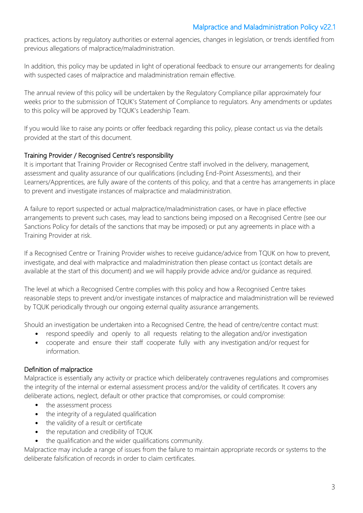practices, actions by regulatory authorities or external agencies, changes in legislation, or trends identified from previous allegations of malpractice/maladministration.

In addition, this policy may be updated in light of operational feedback to ensure our arrangements for dealing with suspected cases of malpractice and maladministration remain effective.

The annual review of this policy will be undertaken by the Regulatory Compliance pillar approximately four weeks prior to the submission of TQUK's Statement of Compliance to regulators. Any amendments or updates to this policy will be approved by TQUK's Leadership Team.

If you would like to raise any points or offer feedback regarding this policy, please contact us via the details provided at the start of this document.

## Training Provider / Recognised Centre's responsibility

It is important that Training Provider or Recognised Centre staff involved in the delivery, management, assessment and quality assurance of our qualifications (including End-Point Assessments), and their Learners/Apprentices, are fully aware of the contents of this policy, and that a centre has arrangements in place to prevent and investigate instances of malpractice and maladministration.

A failure to report suspected or actual malpractice/maladministration cases, or have in place effective arrangements to prevent such cases, may lead to sanctions being imposed on a Recognised Centre (see our Sanctions Policy for details of the sanctions that may be imposed) or put any agreements in place with a Training Provider at risk.

If a Recognised Centre or Training Provider wishes to receive guidance/advice from TQUK on how to prevent, investigate, and deal with malpractice and maladministration then please contact us (contact details are available at the start of this document) and we will happily provide advice and/or guidance as required.

The level at which a Recognised Centre complies with this policy and how a Recognised Centre takes reasonable steps to prevent and/or investigate instances of malpractice and maladministration will be reviewed by TQUK periodically through our ongoing external quality assurance arrangements.

Should an investigation be undertaken into a Recognised Centre, the head of centre/centre contact must:

- respond speedily and openly to all requests relating to the allegation and/or investigation
- cooperate and ensure their staff cooperate fully with any investigation and/or request for information.

## Definition of malpractice

Malpractice is essentially any activity or practice which deliberately contravenes regulations and compromises the integrity of the internal or external assessment process and/or the validity of certificates. It covers any deliberate actions, neglect, default or other practice that compromises, or could compromise:

- the assessment process
- the integrity of a regulated qualification
- the validity of a result or certificate
- the reputation and credibility of TQUK
- the qualification and the wider qualifications community.

Malpractice may include a range of issues from the failure to maintain appropriate records or systems to the deliberate falsification of records in order to claim certificates.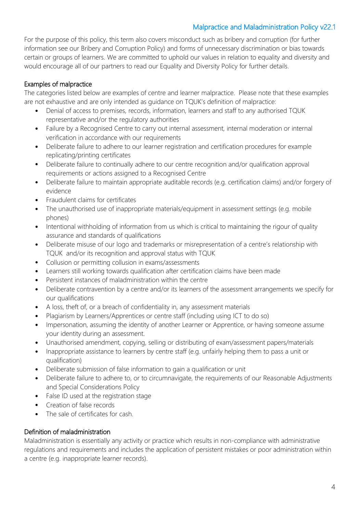For the purpose of this policy, this term also covers misconduct such as bribery and corruption (for further information see our Bribery and Corruption Policy) and forms of unnecessary discrimination or bias towards certain or groups of learners. We are committed to uphold our values in relation to equality and diversity and would encourage all of our partners to read our Equality and Diversity Policy for further details.

## Examples of malpractice

The categories listed below are examples of centre and learner malpractice. Please note that these examples are not exhaustive and are only intended as guidance on TQUK's definition of malpractice:

- Denial of access to premises, records, information, learners and staff to any authorised TQUK representative and/or the regulatory authorities
- Failure by a Recognised Centre to carry out internal assessment, internal moderation or internal verification in accordance with our requirements
- Deliberate failure to adhere to our learner registration and certification procedures for example replicating/printing certificates
- Deliberate failure to continually adhere to our centre recognition and/or qualification approval requirements or actions assigned to a Recognised Centre
- Deliberate failure to maintain appropriate auditable records (e.g. certification claims) and/or forgery of evidence
- Fraudulent claims for certificates
- The unauthorised use of inappropriate materials/equipment in assessment settings (e.g. mobile phones)
- Intentional withholding of information from us which is critical to maintaining the rigour of quality assurance and standards of qualifications
- Deliberate misuse of our logo and trademarks or misrepresentation of a centre's relationship with TQUK and/or its recognition and approval status with TQUK
- Collusion or permitting collusion in exams/assessments
- Learners still working towards qualification after certification claims have been made
- Persistent instances of maladministration within the centre
- Deliberate contravention by a centre and/or its learners of the assessment arrangements we specify for our qualifications
- A loss, theft of, or a breach of confidentiality in, any assessment materials
- Plagiarism by Learners/Apprentices or centre staff (including using ICT to do so)
- Impersonation, assuming the identity of another Learner or Apprentice, or having someone assume your identity during an assessment.
- Unauthorised amendment, copying, selling or distributing of exam/assessment papers/materials
- Inappropriate assistance to learners by centre staff (e.g. unfairly helping them to pass a unit or qualification)
- Deliberate submission of false information to gain a qualification or unit
- Deliberate failure to adhere to, or to circumnavigate, the requirements of our Reasonable Adjustments and Special Considerations Policy
- False ID used at the registration stage
- Creation of false records
- The sale of certificates for cash.

## Definition of maladministration

Maladministration is essentially any activity or practice which results in non-compliance with administrative regulations and requirements and includes the application of persistent mistakes or poor administration within a centre (e.g. inappropriate learner records).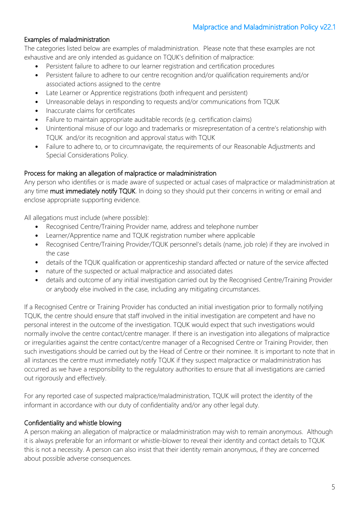### Examples of maladministration

The categories listed below are examples of maladministration. Please note that these examples are not exhaustive and are only intended as guidance on TQUK's definition of malpractice:

- Persistent failure to adhere to our learner registration and certification procedures
- Persistent failure to adhere to our centre recognition and/or qualification requirements and/or associated actions assigned to the centre
- Late Learner or Apprentice registrations (both infrequent and persistent)
- Unreasonable delays in responding to requests and/or communications from TQUK
- Inaccurate claims for certificates
- Failure to maintain appropriate auditable records (e.g. certification claims)
- Unintentional misuse of our logo and trademarks or misrepresentation of a centre's relationship with TQUK and/or its recognition and approval status with TQUK
- Failure to adhere to, or to circumnavigate, the requirements of our Reasonable Adjustments and Special Considerations Policy.

#### Process for making an allegation of malpractice or maladministration

Any person who identifies or is made aware of suspected or actual cases of malpractice or maladministration at any time must immediately notify TQUK. In doing so they should put their concerns in writing or email and enclose appropriate supporting evidence.

All allegations must include (where possible):

- Recognised Centre/Training Provider name, address and telephone number
- Learner/Apprentice name and TQUK registration number where applicable
- Recognised Centre/Training Provider/TQUK personnel's details (name, job role) if they are involved in the case
- details of the TQUK qualification or apprenticeship standard affected or nature of the service affected
- nature of the suspected or actual malpractice and associated dates
- details and outcome of any initial investigation carried out by the Recognised Centre/Training Provider or anybody else involved in the case, including any mitigating circumstances.

If a Recognised Centre or Training Provider has conducted an initial investigation prior to formally notifying TQUK, the centre should ensure that staff involved in the initial investigation are competent and have no personal interest in the outcome of the investigation. TQUK would expect that such investigations would normally involve the centre contact/centre manager. If there is an investigation into allegations of malpractice or irregularities against the centre contact/centre manager of a Recognised Centre or Training Provider, then such investigations should be carried out by the Head of Centre or their nominee. It is important to note that in all instances the centre must immediately notify TQUK if they suspect malpractice or maladministration has occurred as we have a responsibility to the regulatory authorities to ensure that all investigations are carried out rigorously and effectively.

For any reported case of suspected malpractice/maladministration, TQUK will protect the identity of the informant in accordance with our duty of confidentiality and/or any other legal duty.

#### Confidentiality and whistle blowing

A person making an allegation of malpractice or maladministration may wish to remain anonymous. Although it is always preferable for an informant or whistle-blower to reveal their identity and contact details to TQUK this is not a necessity. A person can also insist that their identity remain anonymous, if they are concerned about possible adverse consequences.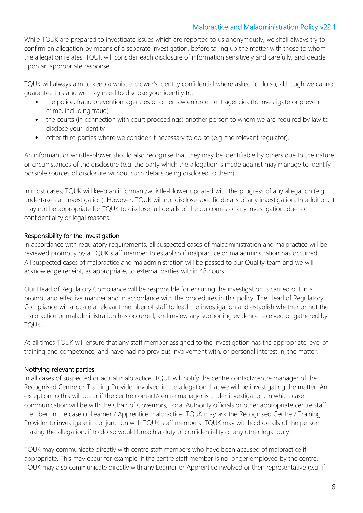While TQUK are prepared to investigate issues which are reported to us anonymously, we shall always try to confirm an allegation by means of a separate investigation, before taking up the matter with those to whom the allegation relates. TQUK will consider each disclosure of information sensitively and carefully, and decide upon an appropriate response.

TQUK will always aim to keep a whistle-blower's identity confidential where asked to do so, although we cannot guarantee this and we may need to disclose your identity to:

- the police, fraud prevention agencies or other law enforcement agencies (to investigate or prevent crime, including fraud)
- the courts (in connection with court proceedings) another person to whom we are required by law to disclose your identity
- other third parties where we consider it necessary to do so (e.g. the relevant regulator).

An informant or whistle-blower should also recognise that they may be identifiable by others due to the nature or circumstances of the disclosure (e.g. the party which the allegation is made against may manage to identify possible sources of disclosure without such details being disclosed to them).

In most cases, TQUK will keep an informant/whistle-blower updated with the progress of any allegation (e.g. undertaken an investigation). However, TQUK will not disclose specific details of any investigation. In addition, it may not be appropriate for TQUK to disclose full details of the outcomes of any investigation, due to confidentiality or legal reasons.

#### Responsibility for the investigation

In accordance with regulatory requirements, all suspected cases of maladministration and malpractice will be reviewed promptly by a TQUK staff member to establish if malpractice or maladministration has occurred. All suspected cases of malpractice and maladministration will be passed to our Quality team and we will acknowledge receipt, as appropriate, to external parties within 48 hours.

Our Head of Regulatory Compliance will be responsible for ensuring the investigation is carried out in a prompt and effective manner and in accordance with the procedures in this policy. The Head of Regulatory Compliance will allocate a relevant member of staff to lead the investigation and establish whether or not the malpractice or maladministration has occurred, and review any supporting evidence received or gathered by TQUK.

At all times TQUK will ensure that any staff member assigned to the investigation has the appropriate level of training and competence, and have had no previous involvement with, or personal interest in, the matter.

#### Notifying relevant parties

In all cases of suspected or actual malpractice, TQUK will notify the centre contact/centre manager of the Recognised Centre or Training Provider involved in the allegation that we will be investigating the matter. An exception to this will occur if the centre contact/centre manager is under investigation; in which case communication will be with the Chair of Governors, Local Authority officials or other appropriate centre staff member. In the case of Learner / Apprentice malpractice, TQUK may ask the Recognised Centre / Training Provider to investigate in conjunction with TQUK staff members. TQUK may withhold details of the person making the allegation, if to do so would breach a duty of confidentiality or any other legal duty.

TQUK may communicate directly with centre staff members who have been accused of malpractice if appropriate. This may occur for example, if the centre staff member is no longer employed by the centre. TQUK may also communicate directly with any Learner or Apprentice involved or their representative (e.g. if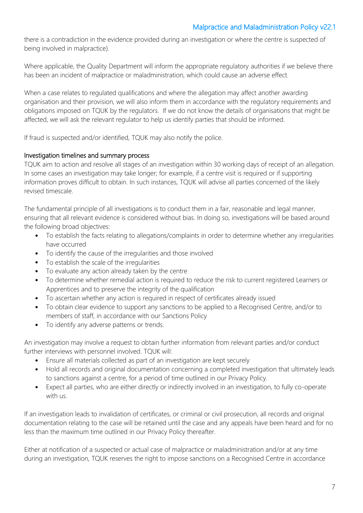there is a contradiction in the evidence provided during an investigation or where the centre is suspected of being involved in malpractice).

Where applicable, the Quality Department will inform the appropriate regulatory authorities if we believe there has been an incident of malpractice or maladministration, which could cause an adverse effect.

When a case relates to regulated qualifications and where the allegation may affect another awarding organisation and their provision, we will also inform them in accordance with the regulatory requirements and obligations imposed on TQUK by the regulators. If we do not know the details of organisations that might be affected, we will ask the relevant regulator to help us identify parties that should be informed.

If fraud is suspected and/or identified, TQUK may also notify the police.

## Investigation timelines and summary process

TQUK aim to action and resolve all stages of an investigation within 30 working days of receipt of an allegation. In some cases an investigation may take longer; for example, if a centre visit is required or if supporting information proves difficult to obtain. In such instances, TQUK will advise all parties concerned of the likely revised timescale.

The fundamental principle of all investigations is to conduct them in a fair, reasonable and legal manner, ensuring that all relevant evidence is considered without bias. In doing so, investigations will be based around the following broad objectives:

- To establish the facts relating to allegations/complaints in order to determine whether any irregularities have occurred
- To identify the cause of the irregularities and those involved
- To establish the scale of the irregularities
- To evaluate any action already taken by the centre
- To determine whether remedial action is required to reduce the risk to current registered Learners or Apprentices and to preserve the integrity of the qualification
- To ascertain whether any action is required in respect of certificates already issued
- To obtain clear evidence to support any sanctions to be applied to a Recognised Centre, and/or to members of staff, in accordance with our Sanctions Policy
- To identify any adverse patterns or trends.

An investigation may involve a request to obtain further information from relevant parties and/or conduct further interviews with personnel involved. TQUK will:

- Ensure all materials collected as part of an investigation are kept securely
- Hold all records and original documentation concerning a completed investigation that ultimately leads to sanctions against a centre, for a period of time outlined in our Privacy Policy.
- Expect all parties, who are either directly or indirectly involved in an investigation, to fully co-operate with us.

If an investigation leads to invalidation of certificates, or criminal or civil prosecution, all records and original documentation relating to the case will be retained until the case and any appeals have been heard and for no less than the maximum time outlined in our Privacy Policy thereafter.

Either at notification of a suspected or actual case of malpractice or maladministration and/or at any time during an investigation, TQUK reserves the right to impose sanctions on a Recognised Centre in accordance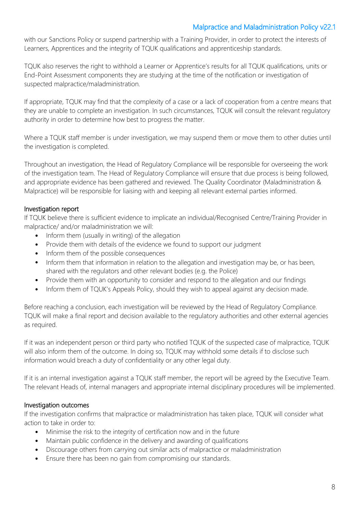with our Sanctions Policy or suspend partnership with a Training Provider, in order to protect the interests of Learners, Apprentices and the integrity of TQUK qualifications and apprenticeship standards.

TQUK also reserves the right to withhold a Learner or Apprentice's results for all TQUK qualifications, units or End-Point Assessment components they are studying at the time of the notification or investigation of suspected malpractice/maladministration.

If appropriate, TQUK may find that the complexity of a case or a lack of cooperation from a centre means that they are unable to complete an investigation. In such circumstances, TQUK will consult the relevant regulatory authority in order to determine how best to progress the matter.

Where a TQUK staff member is under investigation, we may suspend them or move them to other duties until the investigation is completed.

Throughout an investigation, the Head of Regulatory Compliance will be responsible for overseeing the work of the investigation team. The Head of Regulatory Compliance will ensure that due process is being followed, and appropriate evidence has been gathered and reviewed. The Quality Coordinator (Maladministration & Malpractice) will be responsible for liaising with and keeping all relevant external parties informed.

#### Investigation report

If TQUK believe there is sufficient evidence to implicate an individual/Recognised Centre/Training Provider in malpractice/ and/or maladministration we will:

- Inform them (usually in writing) of the allegation
- Provide them with details of the evidence we found to support our judgment
- Inform them of the possible consequences
- Inform them that information in relation to the allegation and investigation may be, or has been, shared with the regulators and other relevant bodies (e.g. the Police)
- Provide them with an opportunity to consider and respond to the allegation and our findings
- Inform them of TQUK's Appeals Policy, should they wish to appeal against any decision made.

Before reaching a conclusion, each investigation will be reviewed by the Head of Regulatory Compliance. TQUK will make a final report and decision available to the regulatory authorities and other external agencies as required.

If it was an independent person or third party who notified TQUK of the suspected case of malpractice, TQUK will also inform them of the outcome. In doing so, TQUK may withhold some details if to disclose such information would breach a duty of confidentiality or any other legal duty.

If it is an internal investigation against a TQUK staff member, the report will be agreed by the Executive Team. The relevant Heads of, internal managers and appropriate internal disciplinary procedures will be implemented.

## Investigation outcomes

If the investigation confirms that malpractice or maladministration has taken place, TQUK will consider what action to take in order to:

- Minimise the risk to the integrity of certification now and in the future
- Maintain public confidence in the delivery and awarding of qualifications
- Discourage others from carrying out similar acts of malpractice or maladministration
- Ensure there has been no gain from compromising our standards.